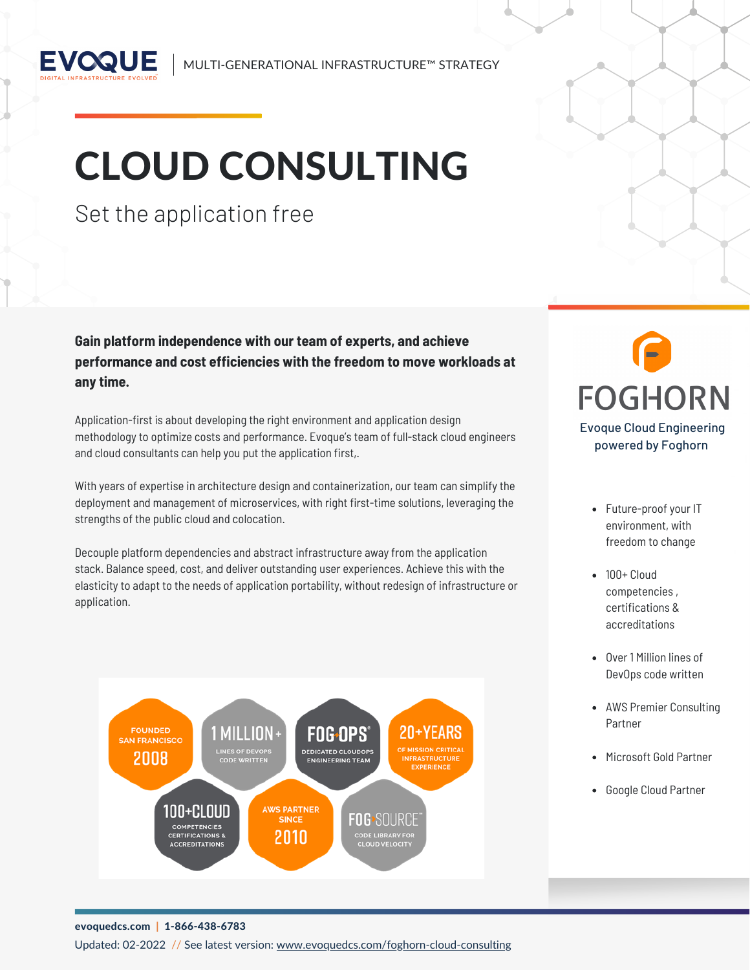

MULTI-GENERATIONAL INFRASTRUCTURE™ STRATEGY

# CLOUD CONSULTING

### Set the application free

**Gain platform independence with our team of experts, and achieve performance and cost efficiencies with the freedom to move workloads at any time.**

Application-first is about developing the right environment and application design methodology to optimize costs and performance. Evoque's team of full-stack cloud engineers and cloud consultants can help you put the application first,.

With years of expertise in architecture design and containerization, our team can simplify the deployment and management of microservices, with right first-time solutions, leveraging the strengths of the public cloud and colocation.

Decouple platform dependencies and abstract infrastructure away from the application stack. Balance speed, cost, and deliver outstanding user experiences. Achieve this with the elasticity to adapt to the needs of application portability, without redesign of infrastructure or application.



## **FOGHORN** Evoque Cloud Engineering powered by Foghorn

- Future-proof your IT environment, with freedom to change
- 100+ Cloud competencies , certifications & accreditations
- Over 1 Million lines of DevOps code written
- AWS Premier Consulting Partner
- Microsoft Gold Partner
- Google Cloud Partner